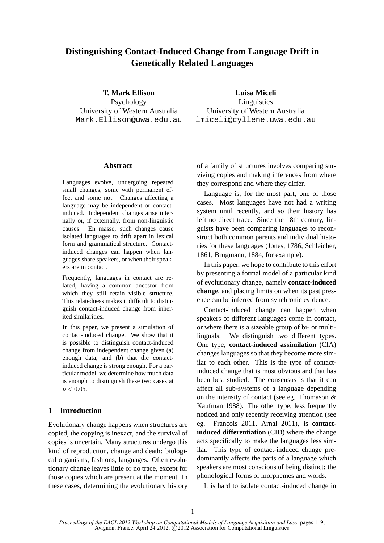# **Distinguishing Contact-Induced Change from Language Drift in Genetically Related Languages**

**T. Mark Ellison** Psychology University of Western Australia Mark.Ellison@uwa.edu.au **Luisa Miceli**

Linguistics University of Western Australia lmiceli@cyllene.uwa.edu.au

# **Abstract**

Languages evolve, undergoing repeated small changes, some with permanent effect and some not. Changes affecting a language may be independent or contactinduced. Independent changes arise internally or, if externally, from non-linguistic causes. En masse, such changes cause isolated languages to drift apart in lexical form and grammatical structure. Contactinduced changes can happen when languages share speakers, or when their speakers are in contact.

Frequently, languages in contact are related, having a common ancestor from which they still retain visible structure. This relatedness makes it difficult to distinguish contact-induced change from inherited similarities.

In this paper, we present a simulation of contact-induced change. We show that it is possible to distinguish contact-induced change from independent change given (a) enough data, and (b) that the contactinduced change is strong enough. For a particular model, we determine how much data is enough to distinguish these two cases at  $p < 0.05$ .

# **1 Introduction**

Evolutionary change happens when structures are copied, the copying is inexact, and the survival of copies is uncertain. Many structures undergo this kind of reproduction, change and death: biological organisms, fashions, languages. Often evolutionary change leaves little or no trace, except for those copies which are present at the moment. In these cases, determining the evolutionary history of a family of structures involves comparing surviving copies and making inferences from where they correspond and where they differ.

Language is, for the most part, one of those cases. Most languages have not had a writing system until recently, and so their history has left no direct trace. Since the 18th century, linguists have been comparing languages to reconstruct both common parents and individual histories for these languages (Jones, 1786; Schleicher, 1861; Brugmann, 1884, for example).

In this paper, we hope to contribute to this effort by presenting a formal model of a particular kind of evolutionary change, namely **contact-induced change**, and placing limits on when its past presence can be inferred from synchronic evidence.

Contact-induced change can happen when speakers of different languages come in contact, or where there is a sizeable group of bi- or multilinguals. We distinguish two different types. One type, **contact-induced assimilation** (CIA) changes languages so that they become more similar to each other. This is the type of contactinduced change that is most obvious and that has been best studied. The consensus is that it can affect all sub-systems of a language depending on the intensity of contact (see eg. Thomason & Kaufman 1988). The other type, less frequently noticed and only recently receiving attention (see eg. François 2011, Arnal 2011), is **contactinduced differentiation** (CID) where the change acts specifically to make the languages less similar. This type of contact-induced change predominantly affects the parts of a language which speakers are most conscious of being distinct: the phonological forms of morphemes and words.

It is hard to isolate contact-induced change in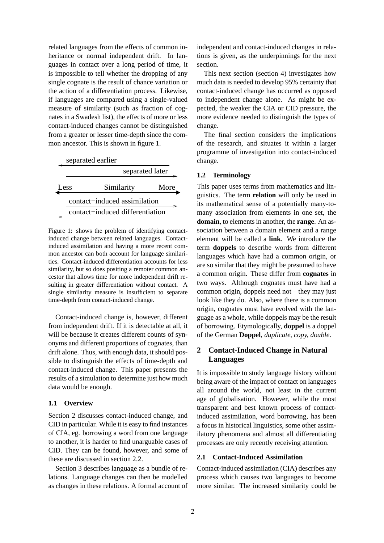related languages from the effects of common inheritance or normal independent drift. In languages in contact over a long period of time, it is impossible to tell whether the dropping of any single cognate is the result of chance variation or the action of a differentiation process. Likewise, if languages are compared using a single-valued measure of similarity (such as fraction of cognates in a Swadesh list), the effects of more or less contact-induced changes cannot be distinguished from a greater or lesser time-depth since the common ancestor. This is shown in figure 1.

|      | separated earlier |      |  |
|------|-------------------|------|--|
|      | separated later   |      |  |
| Less | Similarity        | More |  |
|      |                   |      |  |

contact−induced differentiation Figure 1: shows the problem of identifying contact-

contact−induced assimilation

induced change between related languages. Contactinduced assimilation and having a more recent common ancestor can both account for language similarities. Contact-induced differentiation accounts for less similarity, but so does positing a remoter common ancestor that allows time for more independent drift resulting in greater differentiation without contact. A single similarity measure is insufficient to separate time-depth from contact-induced change.

Contact-induced change is, however, different from independent drift. If it is detectable at all, it will be because it creates different counts of synonyms and different proportions of cognates, than drift alone. Thus, with enough data, it should possible to distinguish the effects of time-depth and contact-induced change. This paper presents the results of a simulation to determine just how much data would be enough.

# **1.1 Overview**

Section 2 discusses contact-induced change, and CID in particular. While it is easy to find instances of CIA, eg. borrowing a word from one language to another, it is harder to find unarguable cases of CID. They can be found, however, and some of these are discussed in section 2.2.

Section 3 describes language as a bundle of relations. Language changes can then be modelled as changes in these relations. A formal account of independent and contact-induced changes in relations is given, as the underpinnings for the next section.

This next section (section 4) investigates how much data is needed to develop 95% certainty that contact-induced change has occurred as opposed to independent change alone. As might be expected, the weaker the CIA or CID pressure, the more evidence needed to distinguish the types of change.

The final section considers the implications of the research, and situates it within a larger programme of investigation into contact-induced change.

# **1.2 Terminology**

This paper uses terms from mathematics and linguistics. The term **relation** will only be used in its mathematical sense of a potentially many-tomany association from elements in one set, the **domain**, to elements in another, the **range**. An association between a domain element and a range element will be called a **link**. We introduce the term **doppels** to describe words from different languages which have had a common origin, or are so similar that they might be presumed to have a common origin. These differ from **cognates** in two ways. Although cognates must have had a common origin, doppels need not – they may just look like they do. Also, where there is a common origin, cognates must have evolved with the language as a whole, while doppels may be the result of borrowing. Etymologically, **doppel** is a doppel of the German **Doppel**, *duplicate, copy, double*.

# **2 Contact-Induced Change in Natural Languages**

It is impossible to study language history without being aware of the impact of contact on languages all around the world, not least in the current age of globalisation. However, while the most transparent and best known process of contactinduced assimilation, word borrowing, has been a focus in historical linguistics, some other assimilatory phenomena and almost all differentiating processes are only recently receiving attention.

# **2.1 Contact-Induced Assimilation**

Contact-induced assimilation (CIA) describes any process which causes two languages to become more similar. The increased similarity could be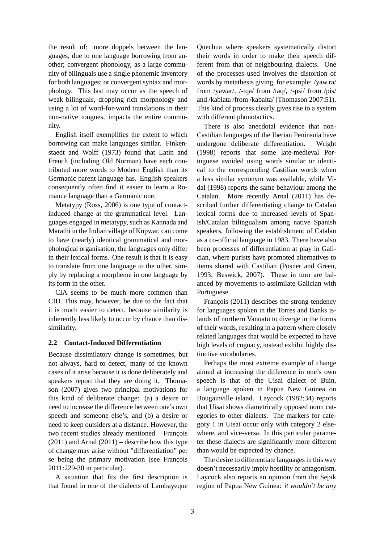the result of: more doppels between the languages, due to one language borrowing from another; convergent phonology, as a large community of bilinguals use a single phonemic inventory for both languages; or convergent syntax and morphology. This last may occur as the speech of weak bilinguals, dropping rich morphology and using a lot of word-for-word translations in their non-native tongues, impacts the entire community.

English itself exemplifies the extent to which borrowing can make languages similar. Finkenstaedt and Wolff (1973) found that Latin and French (including Old Norman) have each contributed more words to Modern English than its Germanic parent language has. English speakers consequently often find it easier to learn a Romance language than a Germanic one.

Metatypy (Ross, 2006) is one type of contactinduced change at the grammatical level. Languages engaged in metatypy, such as Kannada and Marathi in the Indian village of Kupwar, can come to have (nearly) identical grammatical and morphological organisation; the languages only differ in their lexical forms. One result is that it is easy to translate from one language to the other, simply by replacing a morpheme in one language by its form in the other.

CIA seems to be much more common than CID. This may, however, be due to the fact that it is much easier to detect, because similarity is inherently less likely to occur by chance than dissimilarity.

### **2.2 Contact-Induced Differentiation**

Because dissimilatory change is sometimes, but not always, hard to detect, many of the known cases of it arise because it is done deliberately and speakers report that they are doing it. Thomason (2007) gives two principal motivations for this kind of deliberate change: (a) a desire or need to increase the difference between one's own speech and someone else's, and (b) a desire or need to keep outsiders at a distance. However, the two recent studies already mentioned – François  $(2011)$  and Arnal  $(2011)$  – describe how this type of change may arise without "differentiation" per se being the primary motivation (see François 2011:229-30 in particular).

A situation that fits the first description is that found in one of the dialects of Lambayeque Quechua where speakers systematically distort their words in order to make their speech different from that of neighbouring dialects. One of the processes used involves the distortion of words by metathesis giving, for example: /yaw.ra/ from /yawar/, /-tqa/ from /taq/, /-psi/ from /pis/ and /kablata /from /kabalta/ (Thomason 2007:51). This kind of process clearly gives rise to a system with different phonotactics.

There is also anecdotal evidence that non-Castilian languages of the Iberian Peninsula have undergone deliberate differentiation. Wright (1998) reports that some late-medieval Portuguese avoided using words similar or identical to the corresponding Castilian words when a less similar synonym was available, while Vidal (1998) reports the same behaviour among the Catalan. More recently Arnal (2011) has described further differentiating change to Catalan lexical forms due to increased levels of Spanish/Catalan bilingualism among native Spanish speakers, following the establishment of Catalan as a co-official language in 1983. There have also been processes of differentiation at play in Galician, where purists have promoted alternatives to items shared with Castilian (Posner and Green, 1993; Beswick, 2007). These in turn are balanced by movements to assimilate Galician with Portuguese.

François  $(2011)$  describes the strong tendency for languages spoken in the Torres and Banks islands of northern Vanuatu to diverge in the forms of their words, resulting in a pattern where closely related languages that would be expected to have high levels of cognacy, instead exhibit highly distinctive vocabularies.

Perhaps the most extreme example of change aimed at increasing the difference in one's own speech is that of the Uisai dialect of Buin, a language spoken in Papua New Guinea on Bougainville island. Laycock (1982:34) reports that Uisai shows diametrically opposed noun categories to other dialects. The markers for category 1 in Uisai occur only with category 2 elsewhere, and vice-versa. In this particular parameter these dialects are significantly more different than would be expected by chance.

The desire to differentiate languages in this way doesn't necessarily imply hostility or antagonism. Laycock also reports an opinion from the Sepik region of Papua New Guinea: *it wouldn't be any*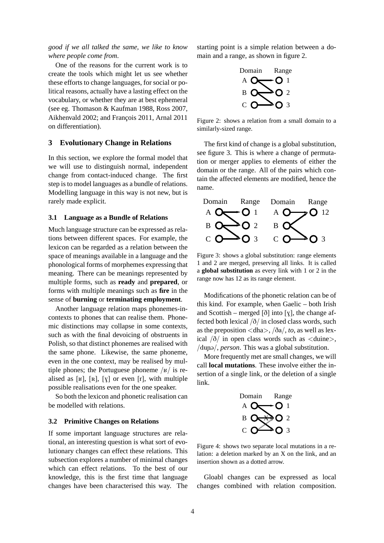*good if we all talked the same, we like to know where people come from*.

One of the reasons for the current work is to create the tools which might let us see whether these efforts to change languages, for social or political reasons, actually have a lasting effect on the vocabulary, or whether they are at best ephemeral (see eg. Thomason & Kaufman 1988, Ross 2007, Aikhenvald 2002; and François 2011, Arnal 2011 on differentiation).

### **3 Evolutionary Change in Relations**

In this section, we explore the formal model that we will use to distinguish normal, independent change from contact-induced change. The first step is to model languages as a bundle of relations. Modelling language in this way is not new, but is rarely made explicit.

#### **3.1 Language as a Bundle of Relations**

Much language structure can be expressed as relations between different spaces. For example, the lexicon can be regarded as a relation between the space of meanings available in a language and the phonological forms of morphemes expressing that meaning. There can be meanings represented by multiple forms, such as **ready** and **prepared**, or forms with multiple meanings such as **fire** in the sense of **burning** or **terminating employment**.

Another language relation maps phonemes-incontexts to phones that can realise them. Phonemic distinctions may collapse in some contexts, such as with the final devoicing of obstruents in Polish, so that distinct phonemes are realised with the same phone. Likewise, the same phoneme, even in the one context, may be realised by multiple phones; the Portuguese phoneme  $/k/$  is realised as [ $\mathbf{K}$ ], [ $\mathbf{R}$ ], [ $\mathbf{V}$ ] or even [ $\mathbf{r}$ ], with multiple possible realisations even for the one speaker.

So both the lexicon and phonetic realisation can be modelled with relations.

#### **3.2 Primitive Changes on Relations**

If some important language structures are relational, an interesting question is what sort of evolutionary changes can effect these relations. This subsection explores a number of minimal changes which can effect relations. To the best of our knowledge, this is the first time that language changes have been characterised this way. The starting point is a simple relation between a domain and a range, as shown in figure 2.



Figure 2: shows a relation from a small domain to a similarly-sized range.

The first kind of change is a global substitution, see figure 3. This is where a change of permutation or merger applies to elements of either the domain or the range. All of the pairs which contain the affected elements are modified, hence the name.



Figure 3: shows a global substitution: range elements 1 and 2 are merged, preserving all links. It is called a **global substitution** as every link with 1 or 2 in the range now has 12 as its range element.

Modifications of the phonetic relation can be of this kind. For example, when Gaelic – both Irish and Scottish – merged  $\delta$ ] into [y], the change affected both lexical  $\delta /$  in closed class words, such as the preposition  $\langle dha \rangle$ ,  $\langle \delta a \rangle$ , *to*, as well as lexical  $\frac{\delta}{\delta}$  in open class words such as  $\langle$  duine $\rangle$ ,  $\mu$ dun $\alpha$ , *person*. This was a global substitution.

More frequently met are small changes, we will call **local mutations**. These involve either the insertion of a single link, or the deletion of a single link.



Figure 4: shows two separate local mutations in a relation: a deletion marked by an X on the link, and an insertion shown as a dotted arrow.

Gloabl changes can be expressed as local changes combined with relation composition.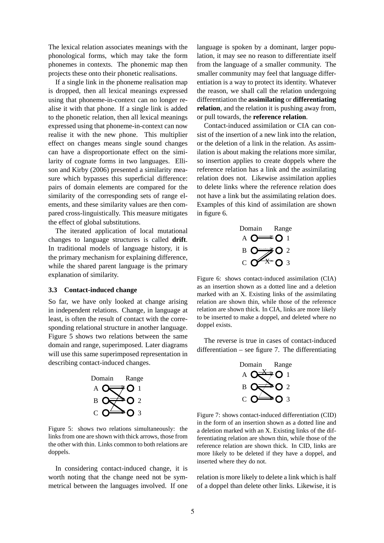The lexical relation associates meanings with the phonological forms, which may take the form phonemes in contexts. The phonemic map then projects these onto their phonetic realisations.

If a single link in the phoneme realisation map is dropped, then all lexical meanings expressed using that phoneme-in-context can no longer realise it with that phone. If a single link is added to the phonetic relation, then all lexical meanings expressed using that phoneme-in-context can now realise it with the new phone. This multiplier effect on changes means single sound changes can have a disproportionate effect on the similarity of cognate forms in two languages. Ellison and Kirby (2006) presented a similarity measure which bypasses this superficial difference: pairs of domain elements are compared for the similarity of the corresponding sets of range elements, and these similarity values are then compared cross-linguistically. This measure mitigates the effect of global substitutions.

The iterated application of local mutational changes to language structures is called **drift**. In traditional models of language history, it is the primary mechanism for explaining difference, while the shared parent language is the primary explanation of similarity.

#### **3.3 Contact-induced change**

So far, we have only looked at change arising in independent relations. Change, in language at least, is often the result of contact with the corresponding relational structure in another language. Figure 5 shows two relations between the same domain and range, superimposed. Later diagrams will use this same superimposed representation in describing contact-induced changes.



Figure 5: shows two relations simultaneously: the links from one are shown with thick arrows, those from the other with thin. Links common to both relations are doppels.

In considering contact-induced change, it is worth noting that the change need not be symmetrical between the languages involved. If one language is spoken by a dominant, larger population, it may see no reason to differentiate itself from the language of a smaller community. The smaller community may feel that language differentiation is a way to protect its identity. Whatever the reason, we shall call the relation undergoing differentiation the **assimilating** or **differentiating relation**, and the relation it is pushing away from, or pull towards, the **reference relation**.

Contact-induced assimilation or CIA can consist of the insertion of a new link into the relation, or the deletion of a link in the relation. As assimilation is about making the relations more similar, so insertion applies to create doppels where the reference relation has a link and the assimilating relation does not. Likewise assimilation applies to delete links where the reference relation does not have a link but the assimilating relation does. Examples of this kind of assimilation are shown in figure 6.



Figure 6: shows contact-induced assimilation (CIA) as an insertion shown as a dotted line and a deletion marked with an X. Existing links of the assimilating relation are shown thin, while those of the reference relation are shown thick. In CIA, links are more likely to be inserted to make a doppel, and deleted where no doppel exists.

The reverse is true in cases of contact-induced differentiation – see figure 7. The differentiating



Figure 7: shows contact-induced differentiation (CID) in the form of an insertion shown as a dotted line and a deletion marked with an X. Existing links of the differentiating relation are shown thin, while those of the reference relation are shown thick. In CID, links are more likely to be deleted if they have a doppel, and inserted where they do not.

relation is more likely to delete a link which is half of a doppel than delete other links. Likewise, it is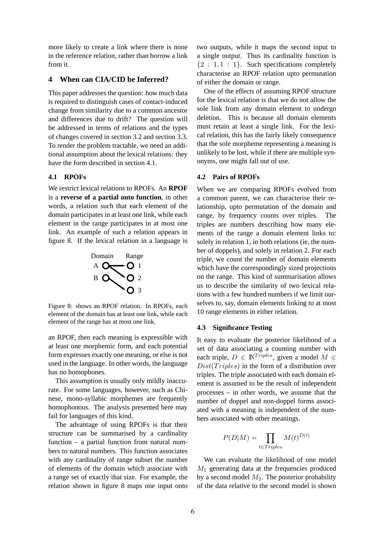more likely to create a link where there is none in the reference relation, rather than borrow a link from it.

### **4 When can CIA/CID be Inferred?**

This paper addresses the question: how much data is required to distinguish cases of contact-induced change from similarity due to a common ancestor and differences due to drift? The question will be addressed in terms of relations and the types of changes covered in section 3.2 and section 3.3. To render the problem tractable, we need an additional assumption about the lexical relations: they have the form described in section 4.1.

# **4.1 RPOFs**

We restrict lexical relations to RPOFs. An **RPOF** is a **reverse of a partial onto function**, in other words, a relation such that each element of the domain participates in at least one link, while each element in the range participates in at most one link. An example of such a relation appears in figure 8. If the lexical relation in a language is



Figure 8: shows an RPOF relation. In RPOFs, each element of the domain has at least one link, while each element of the range has at most one link.

an RPOF, then each meaning is expressible with at least one morphemic form, and each potential form expresses exactly one meaning, or else is not used in the language. In other words, the language has no homophones.

This assumption is usually only mildly inaccurate. For some languages, however, such as Chinese, mono-syllabic morphemes are frequently homophonous. The analysis presented here may fail for languages of this kind.

The advantage of using RPOFs is that their structure can be summarised by a cardinality function – a partial function from natural numbers to natural numbers. This function associates with any cardinality of range subset the number of elements of the domain which associate with a range set of exactly that size. For example, the relation shown in figure 8 maps one input onto two outputs, while it maps the second input to a single output. Thus its cardinality function is  ${2 : 1, 1 : 1}$ . Such specifications completely characterise an RPOF relation upto permutation of either the domain or range.

One of the effects of assuming RPOF structure for the lexical relation is that we do not allow the sole link from any domain element to undergo deletion. This is because all domain elements must retain at least a single link. For the lexical relation, this has the fairly likely consequence that the sole morpheme representing a meaning is unlikely to be lost, while if there are multiple synonyms, one might fall out of use.

#### **4.2 Pairs of RPOFs**

When we are comparing RPOFs evolved from a common parent, we can characterise their relationship, upto permutation of the domain and range, by frequency counts over triples. The triples are numbers describing how many elements of the range a domain element links to: solely in relation 1, in both relations (ie, the number of doppels), and solely in relation 2. For each triple, we count the number of domain elements which have the correspondingly sized projections on the range. This kind of summarisation allows us to describe the similarity of two lexical relations with a few hundred numbers if we limit ourselves to, say, domain elements linking to at most 10 range elements in either relation.

#### **4.3 Significance Testing**

It easy to evaluate the posterior likelihood of a set of data associating a counting number with each triple,  $D \in \mathbb{N}^{Triplies}$ , given a model  $M \in$  $Dist(Triples)$  in the form of a distribution over triples. The triple associated with each domain element is assumed to be the result of independent processes – in other words, we assume that the number of doppel and non-doppel forms associated with a meaning is independent of the numbers associated with other meanings.

$$
P(D|M) = \prod_{t \in Triplies} M(t)^{D(t)}
$$

We can evaluate the likelihood of one model  $M_1$  generating data at the frequencies produced by a second model  $M_2$ . The posterior probability of the data relative to the second model is shown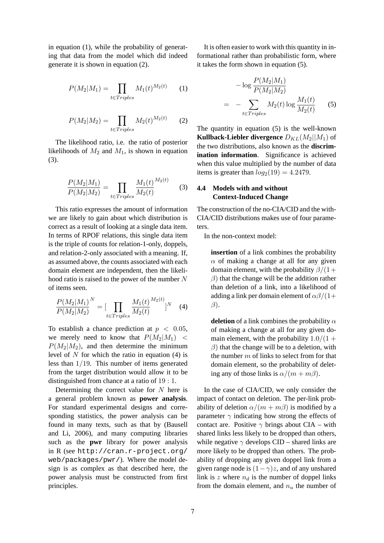in equation (1), while the probability of generating that data from the model which did indeed generate it is shown in equation (2).

$$
P(M_2|M_1) = \prod_{t \in Triplies} M_1(t)^{M_2(t)} \qquad (1)
$$

$$
P(M_2|M_2) = \prod_{t \in Triplies} M_2(t)^{M_2(t)} \qquad (2)
$$

The likelihood ratio, i.e. the ratio of posterior likelihoods of  $M_2$  and  $M_1$ , is shown in equation (3).

$$
\frac{P(M_2|M_1)}{P(M_2|M_2)} = \prod_{t \in Triplies} \frac{M_1(t)}{M_2(t)}^{M_2(t)} \tag{3}
$$

This ratio expresses the amount of information we are likely to gain about which distribution is correct as a result of looking at a single data item. In terms of RPOF relations, this single data item is the triple of counts for relation-1-only, doppels, and relation-2-only associated with a meaning. If, as assumed above, the counts associated with each domain element are independent, then the likelihood ratio is raised to the power of the number  $N$ of items seen.

$$
\frac{P(M_2|M_1)^N}{P(M_2|M_2)} = \left[\prod_{t \in Triplies} \frac{M_1(t)^{M_2(t)}}{M_2(t)}\right]^N \quad (4)
$$

To establish a chance prediction at  $p < 0.05$ , we merely need to know that  $P(M_2|M_1)$  <  $P(M_2|M_2)$ , and then determine the minimum level of  $N$  for which the ratio in equation (4) is less than 1/19. This number of items generated from the target distribution would allow it to be distinguished from chance at a ratio of 19 : 1.

Determining the correct value for  $N$  here is a general problem known as **power analysis**. For standard experimental designs and corresponding statistics, the power analysis can be found in many texts, such as that by (Bausell and Li, 2006), and many computing libraries such as the **pwr** library for power analysis in R (see http://cran.r-project.org/ web/packages/pwr/). Where the model design is as complex as that described here, the power analysis must be constructed from first principles.

It is often easier to work with this quantity in informational rather than probabilistic form, where it takes the form shown in equation (5).

$$
-\log \frac{P(M_2|M_1)}{P(M_2|M_2)}
$$
  
= 
$$
-\sum_{t \in Triplies} M_2(t) \log \frac{M_1(t)}{M_2(t)}
$$
(5)

The quantity in equation (5) is the well-known **Kullback-Liebler divergence**  $D_{KL}(M_2||M_1)$  of the two distributions, also known as the **discrimination information**. Significance is achieved when this value multiplied by the number of data items is greater than  $log_2(19) = 4.2479$ .

# **4.4 Models with and without Context-Induced Change**

The construction of the no-CIA/CID and the with-CIA/CID distributions makes use of four parameters.

In the non-context model:

**insertion** of a link combines the probability  $\alpha$  of making a change at all for any given domain element, with the probability  $\beta/(1+$  $\beta$ ) that the change will be the addition rather than deletion of a link, into a likelihood of adding a link per domain element of  $\alpha\beta/(1+$  $\beta$ ).

**deletion** of a link combines the probability  $\alpha$ of making a change at all for any given domain element, with the probability  $1.0/(1 +$  $\beta$ ) that the change will be to a deletion, with the number  $m$  of links to select from for that domain element, so the probability of deleting any of those links is  $\alpha/(m+m\beta)$ .

In the case of CIA/CID, we only consider the impact of contact on deletion. The per-link probability of deletion  $\alpha/(m + m\beta)$  is modified by a parameter  $\gamma$  indicating how strong the effects of contact are. Positive  $\gamma$  brings about CIA – with shared links less likely to be dropped than others, while negative  $\gamma$  develops CID – shared links are more likely to be dropped than others. The probability of dropping any given doppel link from a given range node is  $(1 - \gamma)z$ , and of any unshared link is z where  $n_d$  is the number of doppel links from the domain element, and  $n_u$  the number of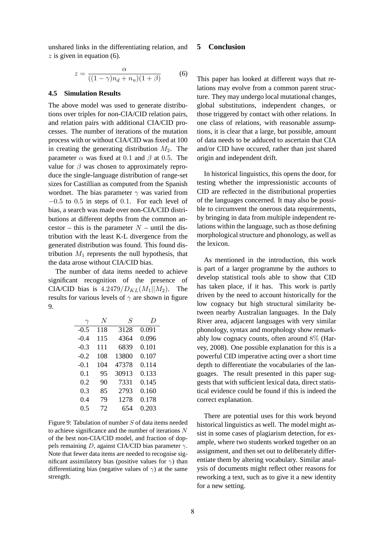unshared links in the differentiating relation, and  $z$  is given in equation (6).

$$
z = \frac{\alpha}{((1-\gamma)n_d + n_u)(1+\beta)}\tag{6}
$$

#### **4.5 Simulation Results**

The above model was used to generate distributions over triples for non-CIA/CID relation pairs, and relation pairs with additional CIA/CID processes. The number of iterations of the mutation process with or without CIA/CID was fixed at 100 in creating the generating distribution  $M_2$ . The parameter  $\alpha$  was fixed at 0.1 and  $\beta$  at 0.5. The value for  $\beta$  was chosen to approximately reproduce the single-language distribution of range-set sizes for Castillian as computed from the Spanish wordnet. The bias parameter  $\gamma$  was varied from  $-0.5$  to 0.5 in steps of 0.1. For each level of bias, a search was made over non-CIA/CID distributions at different depths from the common ancestor – this is the parameter  $N$  – until the distribution with the least K-L divergence from the generated distribution was found. This found distribution  $M_1$  represents the null hypothesis, that the data arose without CIA/CID bias.

The number of data items needed to achieve significant recognition of the presence of CIA/CID bias is  $4.2479/D_{KL}(M_1||M_2)$ . The results for various levels of  $\gamma$  are shown in figure 9.

| $\gamma$ | N   | S     | $\overline{D}$ |
|----------|-----|-------|----------------|
| $-0.5$   | 118 | 3128  | 0.091          |
| $-0.4$   | 115 | 4364  | 0.096          |
| $-0.3$   | 111 | 6839  | 0.101          |
| $-0.2$   | 108 | 13800 | 0.107          |
| $-0.1$   | 104 | 47378 | 0.114          |
| 0.1      | 95  | 30913 | 0.133          |
| 0.2      | 90  | 7331  | 0.145          |
| 0.3      | 85  | 2793  | 0.160          |
| 0.4      | 79  | 12.78 | 0.178          |
| 0.5      | 72  | 654   | 0.203          |

Figure 9: Tabulation of number  $S$  of data items needed to achieve significance and the number of iterations  $N$ of the best non-CIA/CID model, and fraction of doppels remaining D, against CIA/CID bias parameter  $\gamma$ . Note that fewer data items are needed to recognise significant assimilatory bias (positive values for  $\gamma$ ) than differentiating bias (negative values of  $\gamma$ ) at the same strength.

# **5 Conclusion**

This paper has looked at different ways that relations may evolve from a common parent structure. They may undergo local mutational changes, global substitutions, independent changes, or those triggered by contact with other relations. In one class of relations, with reasonable assumptions, it is clear that a large, but possible, amount of data needs to be adduced to ascertain that CIA and/or CID have occured, rather than just shared origin and independent drift.

In historical linguistics, this opens the door, for testing whether the impressionistic accounts of CID are reflected in the distributional properties of the languages concerned. It may also be possible to circumvent the onerous data requirements, by bringing in data from multiple independent relations within the language, such as those defining morphological structure and phonology, as well as the lexicon.

As mentioned in the introduction, this work is part of a larger programme by the authors to develop statistical tools able to show that CID has taken place, if it has. This work is partly driven by the need to account historically for the low cognacy but high structural similarity between nearby Australian languages. In the Daly River area, adjacent languages with very similar phonology, syntax and morphology show remarkably low cognacy counts, often around 8% (Harvey, 2008). One possible explanation for this is a powerful CID imperative acting over a short time depth to differentiate the vocabularies of the languages. The result presented in this paper suggests that with sufficient lexical data, direct statistical evidence could be found if this is indeed the correct explanation.

There are potential uses for this work beyond historical linguistics as well. The model might assist in some cases of plagiarism detection, for example, where two students worked together on an assignment, and then set out to deliberately differentiate them by altering vocabulary. Similar analysis of documents might reflect other reasons for reworking a text, such as to give it a new identity for a new setting.